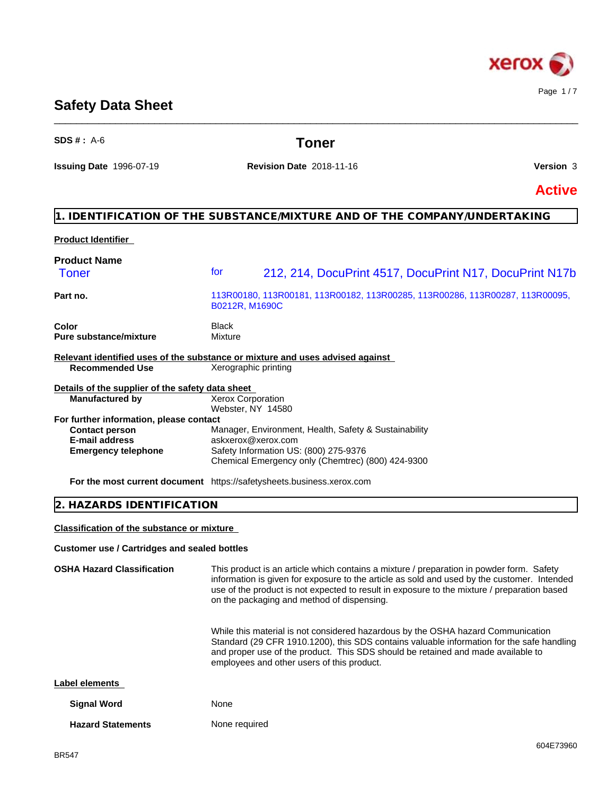

# **Safety Data Sheet**

| $SDS #: A-6$                                                                                                            | Toner                                                                                                                                                                                          |               |
|-------------------------------------------------------------------------------------------------------------------------|------------------------------------------------------------------------------------------------------------------------------------------------------------------------------------------------|---------------|
| <b>Issuing Date 1996-07-19</b>                                                                                          | <b>Revision Date 2018-11-16</b>                                                                                                                                                                | Version 3     |
|                                                                                                                         |                                                                                                                                                                                                | <b>Active</b> |
|                                                                                                                         | 1. IDENTIFICATION OF THE SUBSTANCE/MIXTURE AND OF THE COMPANY/UNDERTAKING                                                                                                                      |               |
| <b>Product Identifier</b>                                                                                               |                                                                                                                                                                                                |               |
| <b>Product Name</b><br><b>Toner</b>                                                                                     | for<br>212, 214, DocuPrint 4517, DocuPrint N17, DocuPrint N17b                                                                                                                                 |               |
| Part no.                                                                                                                | 113R00180, 113R00181, 113R00182, 113R00285, 113R00286, 113R00287, 113R00095,<br>B0212R, M1690C                                                                                                 |               |
| Color<br><b>Pure substance/mixture</b>                                                                                  | <b>Black</b><br>Mixture                                                                                                                                                                        |               |
| <b>Recommended Use</b>                                                                                                  | Relevant identified uses of the substance or mixture and uses advised against<br>Xerographic printing                                                                                          |               |
| Details of the supplier of the safety data sheet<br><b>Manufactured by</b>                                              | <b>Xerox Corporation</b>                                                                                                                                                                       |               |
| For further information, please contact<br><b>Contact person</b><br><b>E-mail address</b><br><b>Emergency telephone</b> | Webster, NY 14580<br>Manager, Environment, Health, Safety & Sustainability<br>askxerox@xerox.com<br>Safety Information US: (800) 275-9376<br>Chemical Emergency only (Chemtrec) (800) 424-9300 |               |
|                                                                                                                         | For the most current document https://safetysheets.business.xerox.com                                                                                                                          |               |
| 2. HAZARDS IDENTIFICATION                                                                                               |                                                                                                                                                                                                |               |
| <b>Classification of the substance or mixture</b>                                                                       |                                                                                                                                                                                                |               |
| <b>Customer use / Cartridges and sealed bottles</b>                                                                     |                                                                                                                                                                                                |               |

\_\_\_\_\_\_\_\_\_\_\_\_\_\_\_\_\_\_\_\_\_\_\_\_\_\_\_\_\_\_\_\_\_\_\_\_\_\_\_\_\_\_\_\_\_\_\_\_\_\_\_\_\_\_\_\_\_\_\_\_\_\_\_\_\_\_\_\_\_\_\_\_\_\_\_\_\_\_\_\_\_\_\_\_\_\_\_\_\_\_\_\_\_\_

**OSHA Hazard Classification** This product is an article which contains a mixture / preparation in powder form. Safety information is given for exposure to the article as sold and used by the customer. Intended use of the product is not expected to result in exposure to the mixture / preparation based on the packaging and method of dispensing. While this material is not considered hazardous by the OSHA hazard Communication Standard (29 CFR 1910.1200), this SDS contains valuable information for the safe handling and proper use of the product. This SDS should be retained and made available to employees and other users of this product. **Label elements Signal Word** None **Hazard Statements** None required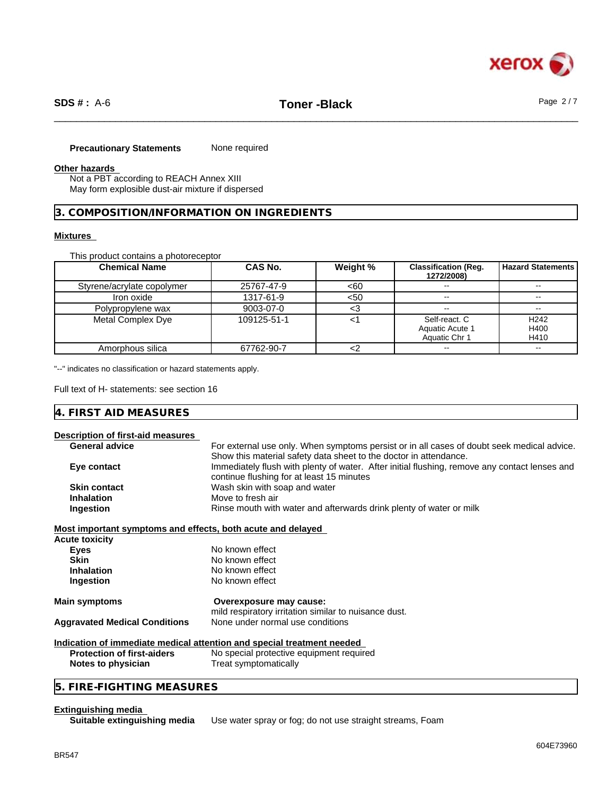

#### **Precautionary Statements** None required

#### **Other hazards**

Not a PBT according to REACH Annex XIII May form explosible dust-air mixture if dispersed

#### **3. COMPOSITION/INFORMATION ON INGREDIENTS**

#### **Mixtures**

This product contains a photoreceptor

| <b>Chemical Name</b>       | CAS No.     | Weight % | <b>Classification (Req.</b><br>1272/2008) | <b>Hazard Statements</b> |
|----------------------------|-------------|----------|-------------------------------------------|--------------------------|
| Styrene/acrylate copolymer | 25767-47-9  | <60      | $\sim$                                    |                          |
| Iron oxide                 | 1317-61-9   | <50      | $\sim$ $\sim$                             |                          |
| Polypropylene wax          | 9003-07-0   | ີ        | $\sim$ $\sim$                             |                          |
| Metal Complex Dye          | 109125-51-1 |          | Self-react. C                             | H <sub>242</sub>         |
|                            |             |          | Aquatic Acute 1                           | H400                     |
|                            |             |          | Aquatic Chr 1                             | H410                     |
| Amorphous silica           | 67762-90-7  |          | $\sim$                                    |                          |

"--" indicates no classification or hazard statements apply.

Full text of H- statements: see section 16

# **4. FIRST AID MEASURES**

#### **Description of first-aid measures**

| <b>General advice</b>                                       | For external use only. When symptoms persist or in all cases of doubt seek medical advice.    |
|-------------------------------------------------------------|-----------------------------------------------------------------------------------------------|
|                                                             | Show this material safety data sheet to the doctor in attendance.                             |
| Eye contact                                                 | Immediately flush with plenty of water. After initial flushing, remove any contact lenses and |
|                                                             | continue flushing for at least 15 minutes                                                     |
| <b>Skin contact</b>                                         | Wash skin with soap and water                                                                 |
| <b>Inhalation</b>                                           | Move to fresh air                                                                             |
| Ingestion                                                   | Rinse mouth with water and afterwards drink plenty of water or milk                           |
| Most important symptoms and effects, both acute and delayed |                                                                                               |
| Acute toxicity                                              |                                                                                               |
| <b>Eyes</b>                                                 | No known effect                                                                               |
| <b>Skin</b>                                                 | No known effect                                                                               |
| <b>Inhalation</b>                                           | No known effect                                                                               |
| Ingestion                                                   | No known effect                                                                               |
| Main symptoms                                               | Overexposure may cause:                                                                       |
|                                                             | mild respiratory irritation similar to nuisance dust.                                         |
| <b>Aggravated Medical Conditions</b>                        | None under normal use conditions                                                              |
|                                                             | Indication of immediate medical attention and special treatment needed                        |
| <b>Protection of first-aiders</b>                           | No special protective equipment required                                                      |
| Notes to physician                                          | Treat symptomatically                                                                         |
|                                                             |                                                                                               |

# **5. FIRE-FIGHTING MEASURES**

**Extinguishing media**

Use water spray or fog; do not use straight streams, Foam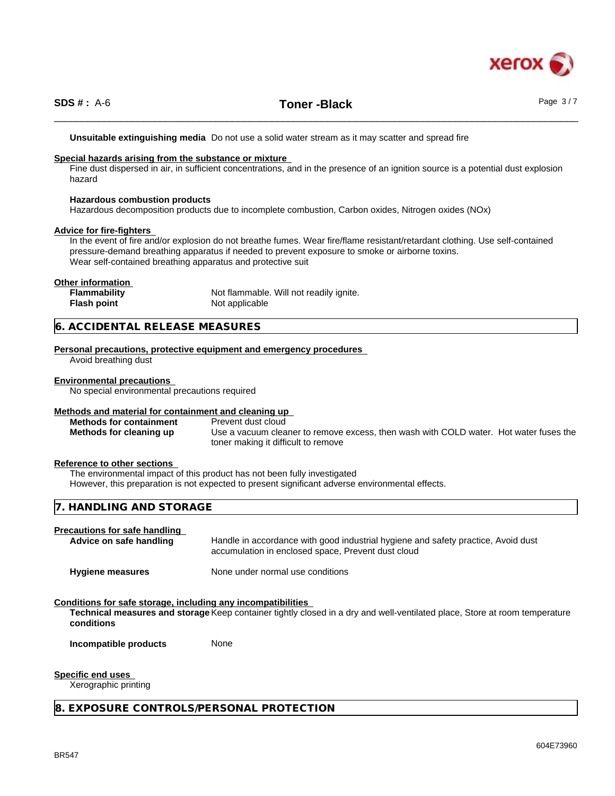

# \_\_\_\_\_\_\_\_\_\_\_\_\_\_\_\_\_\_\_\_\_\_\_\_\_\_\_\_\_\_\_\_\_\_\_\_\_\_\_\_\_\_\_\_\_\_\_\_\_\_\_\_\_\_\_\_\_\_\_\_\_\_\_\_\_\_\_\_\_\_\_\_\_\_\_\_\_\_\_\_\_\_\_\_\_\_\_\_\_\_\_\_\_\_ **SDS # :** A-6 **Toner -Black** Page 3 / 7

**Unsuitable extinguishing media** Do not use a solid water stream as it may scatterand spread fire

#### **Special hazards arising from the substance or mixture**

Fine dust dispersed in air, in sufficient concentrations, and in the presence of an ignition source is a potential dust explosion hazard

#### **Hazardous combustion products**

Hazardous decomposition products due to incomplete combustion, Carbon oxides, Nitrogen oxides (NOx)

#### **Advice for fire-fighters**

In the event of fire and/or explosion do not breathe fumes. Wear fire/flame resistant/retardant clothing. Use self-contained pressure-demand breathing apparatus if needed to prevent exposure to smoke or airborne toxins. Wear self-contained breathing apparatus and protective suit

#### **Other information**

| <b>Flammability</b> | Not flammable. Will not readily ignite. |
|---------------------|-----------------------------------------|
| <b>Flash point</b>  | Not applicable                          |

#### **6. ACCIDENTAL RELEASE MEASURES**

**Personal precautions, protective equipment and emergency procedures**

Avoid breathing dust

#### **Environmental precautions**

No special environmental precautions required

#### **Methods and material for containment and cleaning up**

**Methods for containment** Prevent dust cloud **Methods for cleaning up** Use a vacuum cleaner to remove excess, then wash with COLD water. Hot water fuses the toner making it difficult to remove

#### **Reference to other sections**

The environmental impact of this product has not been fully investigated However, this preparation is not expected to present significant adverse environmental effects.

### **7. HANDLING AND STORAGE**

#### **Precautions for safe handling**

Advice on safe handling **Handle** in accordance with good industrial hygiene and safety practice, Avoid dust accumulation in enclosed space, Prevent dust cloud

**Hygiene measures** None under normal use conditions

#### **Conditions for safe storage, including any incompatibilities**

**Technical measures and storage** Keep container tightly closed in a dry and well-ventilated place, Store at room temperature **conditions**

**Incompatible products** None

#### **Specific end uses**

Xerographic printing

#### **8. EXPOSURE CONTROLS/PERSONAL PROTECTION**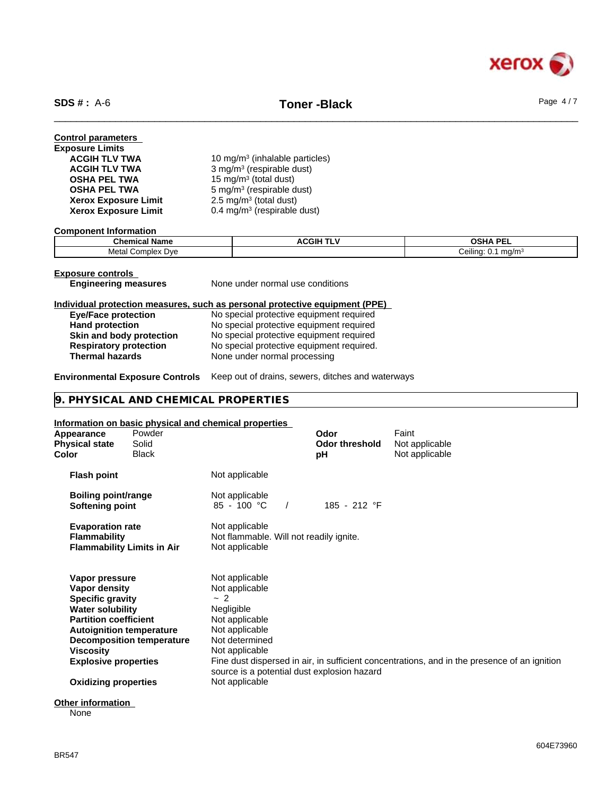

# \_\_\_\_\_\_\_\_\_\_\_\_\_\_\_\_\_\_\_\_\_\_\_\_\_\_\_\_\_\_\_\_\_\_\_\_\_\_\_\_\_\_\_\_\_\_\_\_\_\_\_\_\_\_\_\_\_\_\_\_\_\_\_\_\_\_\_\_\_\_\_\_\_\_\_\_\_\_\_\_\_\_\_\_\_\_\_\_\_\_\_\_\_\_ **SDS # :** A-6 **Toner -Black** Page 4 / 7

| <b>Control parameters</b><br><b>Exposure Limits</b><br><b>ACGIH TLV TWA</b><br><b>ACGIH TLV TWA</b><br><b>OSHA PEL TWA</b><br><b>OSHA PEL TWA</b> | 10 mg/m <sup>3</sup> (inhalable particles)<br>3 mg/m <sup>3</sup> (respirable dust)<br>15 mg/m <sup>3</sup> (total dust)<br>5 mg/m <sup>3</sup> (respirable dust) |  |
|---------------------------------------------------------------------------------------------------------------------------------------------------|-------------------------------------------------------------------------------------------------------------------------------------------------------------------|--|
| <b>Xerox Exposure Limit</b><br><b>Xerox Exposure Limit</b>                                                                                        | $2.5 \text{ mg/m}^3$ (total dust)<br>0.4 mg/m <sup>3</sup> (respirable dust)                                                                                      |  |

**Component Information**

| . .<br>Chemica.<br><b>Name</b>  | CGII | <b>OSHA PEL</b>                                     |
|---------------------------------|------|-----------------------------------------------------|
| Metal<br>Dve<br>:omnlex<br>поњх |      | .<br>Ceilina.<br>ma/m <sup>3</sup><br>$U_{\rm r}$ . |

| <b>Exposure controls</b>            |         |
|-------------------------------------|---------|
| For all a stable as an extension of | $N = -$ |

**Engineering measures** None under normal use conditions

### **Individual protection measures, such as personal protective equipment (PPE)**

| <b>Eye/Face protection</b>    | No special protective equipment required  |
|-------------------------------|-------------------------------------------|
| <b>Hand protection</b>        | No special protective equipment required  |
| Skin and body protection      | No special protective equipment required  |
| <b>Respiratory protection</b> | No special protective equipment required. |
| <b>Thermal hazards</b>        | None under normal processing              |

### **Environmental Exposure Controls** Keep out of drains, sewers, ditches and waterways

# **9. PHYSICAL AND CHEMICAL PROPERTIES**

### **Information on basic physical and chemical properties**

| Appearance<br><b>Physical state</b><br>Color                                                                                                                      | Powder<br>Solid<br>Black                                            |                                                                                                                                                                               | Odor<br><b>Odor threshold</b><br>рH | Faint<br>Not applicable<br>Not applicable                                                    |
|-------------------------------------------------------------------------------------------------------------------------------------------------------------------|---------------------------------------------------------------------|-------------------------------------------------------------------------------------------------------------------------------------------------------------------------------|-------------------------------------|----------------------------------------------------------------------------------------------|
| <b>Flash point</b>                                                                                                                                                |                                                                     | Not applicable                                                                                                                                                                |                                     |                                                                                              |
| <b>Boiling point/range</b><br>Softening point                                                                                                                     |                                                                     | Not applicable<br>$85 - 100 °C$                                                                                                                                               | 185 - 212 °F                        |                                                                                              |
| <b>Evaporation rate</b><br><b>Flammability</b>                                                                                                                    | <b>Flammability Limits in Air</b>                                   | Not applicable<br>Not flammable. Will not readily ignite.<br>Not applicable                                                                                                   |                                     |                                                                                              |
| Vapor pressure<br>Vapor density<br><b>Specific gravity</b><br><b>Water solubility</b><br><b>Partition coefficient</b><br>Viscosity<br><b>Explosive properties</b> | <b>Autoignition temperature</b><br><b>Decomposition temperature</b> | Not applicable<br>Not applicable<br>$-2$<br>Negligible<br>Not applicable<br>Not applicable<br>Not determined<br>Not applicable<br>source is a potential dust explosion hazard |                                     | Fine dust dispersed in air, in sufficient concentrations, and in the presence of an ignition |
| <b>Oxidizing properties</b>                                                                                                                                       |                                                                     | Not applicable                                                                                                                                                                |                                     |                                                                                              |

**Other information**

None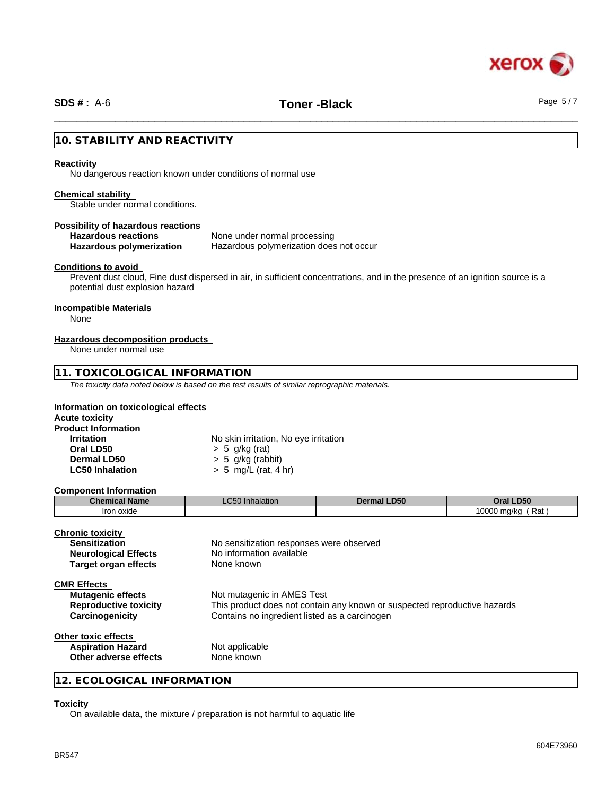

# \_\_\_\_\_\_\_\_\_\_\_\_\_\_\_\_\_\_\_\_\_\_\_\_\_\_\_\_\_\_\_\_\_\_\_\_\_\_\_\_\_\_\_\_\_\_\_\_\_\_\_\_\_\_\_\_\_\_\_\_\_\_\_\_\_\_\_\_\_\_\_\_\_\_\_\_\_\_\_\_\_\_\_\_\_\_\_\_\_\_\_\_\_\_ **SDS # :** A-6 **Toner -Black** Page 5 / 7

# **10. STABILITY AND REACTIVITY**

#### **Reactivity**

No dangerous reaction known under conditions of normal use

#### **Chemical stability**

Stable under normal conditions.

#### **Possibility of hazardous reactions**

## **Hazardous reactions** None under normal processing

**Hazardous polymerization** Hazardous polymerization does not occur

#### **Conditions to avoid**

Prevent dust cloud, Fine dust dispersed in air, in sufficient concentrations, and in the presence of an ignition source is a potential dust explosion hazard

#### **Incompatible Materials**

None

#### **Hazardous decomposition products**

None under normal use

## **11. TOXICOLOGICAL INFORMATION**

*The toxicity data noted below is based on the test results of similar reprographic materials.*

#### **Information on toxicological effects**

| <b>Acute toxicity</b>      |                                       |
|----------------------------|---------------------------------------|
| <b>Product Information</b> |                                       |
| <b>Irritation</b>          | No skin irritation, No eye irritation |
| Oral LD50                  | $> 5$ g/kg (rat)                      |
| Dermal LD50                | $> 5$ g/kg (rabbit)                   |
| <b>LC50 Inhalation</b>     | $> 5$ mg/L (rat, 4 hr)                |

#### **Component Information**

| <b>Chemical Name</b> | $\sim$ $\sim$ $\sim$<br><b>LC50 Inhalation</b> | <b>Dermal LD50</b> | Oral LD50                 |
|----------------------|------------------------------------------------|--------------------|---------------------------|
| Iron oxide           |                                                |                    | Rat<br>10000 mg/kg<br>. . |

| <b>Chronic toxicity</b><br><b>Sensitization</b><br><b>Neurological Effects</b><br><b>Target organ effects</b> | No sensitization responses were observed<br>No information available<br>None known                                                                       |
|---------------------------------------------------------------------------------------------------------------|----------------------------------------------------------------------------------------------------------------------------------------------------------|
| <b>CMR Effects</b><br><b>Mutagenic effects</b><br><b>Reproductive toxicity</b><br>Carcinogenicity             | Not mutagenic in AMES Test<br>This product does not contain any known or suspected reproductive hazards<br>Contains no ingredient listed as a carcinogen |
| Other toxic effects<br><b>Aspiration Hazard</b><br>Other adverse effects                                      | Not applicable<br>None known                                                                                                                             |

**12. ECOLOGICAL INFORMATION**

## **Toxicity**

On available data, the mixture / preparation is not harmful to aquatic life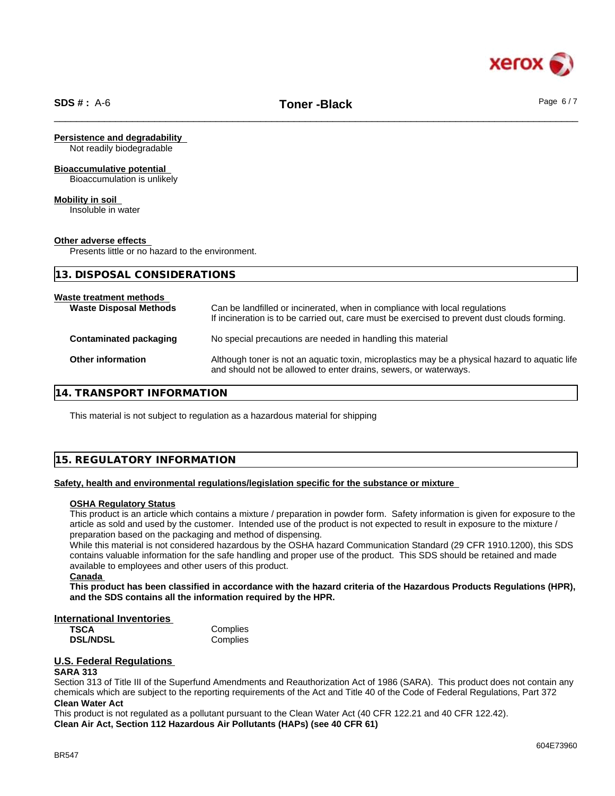

#### **Persistence and degradability**

Not readily biodegradable

#### **Bioaccumulative potential**

Bioaccumulation is unlikely

#### **Mobility in soil**

Insoluble in water

#### **Other adverse effects**

Presents little or no hazard to the environment.

| 13. DISPOSAL CONSIDERATIONS                              |                                                                                                                                                                             |
|----------------------------------------------------------|-----------------------------------------------------------------------------------------------------------------------------------------------------------------------------|
| Waste treatment methods<br><b>Waste Disposal Methods</b> | Can be landfilled or incinerated, when in compliance with local regulations<br>If incineration is to be carried out, care must be exercised to prevent dust clouds forming. |
| <b>Contaminated packaging</b>                            | No special precautions are needed in handling this material                                                                                                                 |
| Other information                                        | Although toner is not an aquatic toxin, microplastics may be a physical hazard to aquatic life<br>and should not be allowed to enter drains, sewers, or waterways.          |

### **14. TRANSPORT INFORMATION**

This material is not subject to regulation as a hazardous material for shipping

### **15. REGULATORY INFORMATION**

#### **Safety, health and environmental regulations/legislation specific for the substance or mixture**

#### **OSHA Regulatory Status**

This product is an article which contains a mixture / preparation in powder form. Safety information is given for exposure to the article as sold and used by the customer. Intended use of the product is not expected to result in exposure to the mixture / preparation based on the packaging and method of dispensing.

While this material is not considered hazardous by the OSHA hazard Communication Standard (29 CFR 1910.1200), this SDS contains valuable information for the safe handling and proper use of the product. This SDS should be retained and made available to employees and other users of this product.

#### **Canada**

This product has been classified in accordance with the hazard criteria of the Hazardous Products Regulations (HPR), **and the SDS contains all the information required by the HPR.**

# **International Inventories**

**DSL/NDSL** Complies

### **U.S. Federal Regulations**

#### **SARA 313**

Section 313 of Title III of the Superfund Amendments and Reauthorization Act of 1986 (SARA). This product does not contain any chemicals which are subject to the reporting requirements of the Act and Title 40 of the Code of Federal Regulations, Part 372 **Clean Water Act**

This product is not regulated as a pollutant pursuant to the Clean Water Act (40 CFR 122.21 and 40 CFR 122.42).

**Clean Air Act,Section 112 Hazardous Air Pollutants (HAPs) (see 40 CFR 61)**

**Complies**